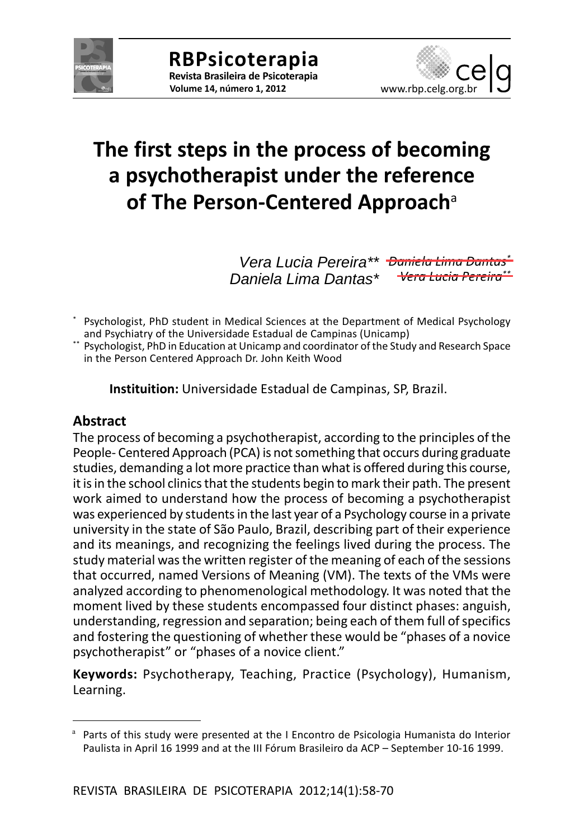



# **The first steps in the process of becoming a psychotherapist under the reference of The Person-Centered Approach**<sup>a</sup>

*Daniela Lima Dantas\* Vera Lucia Pereira\*\* Vera Lucia Pereira\*\* Daniela Lima Dantas\**

Psychologist, PhD student in Medical Sciences at the Department of Medical Psychology and Psychiatry of the Universidade Estadual de Campinas (Unicamp)

\*\* Psychologist, PhD in Education at Unicamp and coordinator of the Study and Research Space in the Person Centered Approach Dr. John Keith Wood

**Instituition:** Universidade Estadual de Campinas, SP, Brazil.

#### **Abstract**

The process of becoming a psychotherapist, according to the principles of the People- Centered Approach (PCA) is not something that occurs during graduate studies, demanding a lot more practice than what is offered during this course, it is in the school clinics that the students begin to mark their path. The present work aimed to understand how the process of becoming a psychotherapist was experienced by students in the last year of a Psychology course in a private university in the state of São Paulo, Brazil, describing part of their experience and its meanings, and recognizing the feelings lived during the process. The study material was the written register of the meaning of each of the sessions that occurred, named Versions of Meaning (VM). The texts of the VMs were analyzed according to phenomenological methodology. It was noted that the moment lived by these students encompassed four distinct phases: anguish, understanding, regression and separation; being each of them full of specifics and fostering the questioning of whether these would be "phases of a novice psychotherapist" or "phases of a novice client."

**Keywords:** Psychotherapy, Teaching, Practice (Psychology), Humanism, Learning.

<sup>&</sup>lt;sup>a</sup> Parts of this study were presented at the I Encontro de Psicologia Humanista do Interior Paulista in April 16 1999 and at the III Fórum Brasileiro da ACP – September 10-16 1999.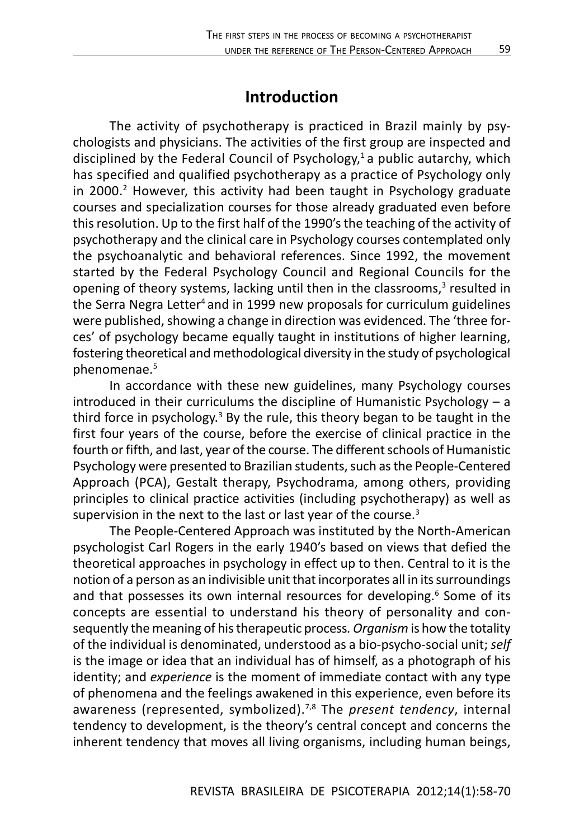### **Introduction**

The activity of psychotherapy is practiced in Brazil mainly by psychologists and physicians. The activities of the first group are inspected and disciplined by the Federal Council of Psychology,<sup>1</sup> a public autarchy, which has specified and qualified psychotherapy as a practice of Psychology only in 2000.<sup>2</sup> However, this activity had been taught in Psychology graduate courses and specialization courses for those already graduated even before this resolution. Up to the first half of the 1990's the teaching of the activity of psychotherapy and the clinical care in Psychology courses contemplated only the psychoanalytic and behavioral references. Since 1992, the movement started by the Federal Psychology Council and Regional Councils for the opening of theory systems, lacking until then in the classrooms,<sup>3</sup> resulted in the Serra Negra Letter<sup>4</sup> and in 1999 new proposals for curriculum guidelines were published, showing a change in direction was evidenced. The 'three forces' of psychology became equally taught in institutions of higher learning, fostering theoretical and methodological diversity in the study of psychological phenomenae.5

In accordance with these new guidelines, many Psychology courses introduced in their curriculums the discipline of Humanistic Psychology – a third force in psychology.<sup>3</sup> By the rule, this theory began to be taught in the first four years of the course, before the exercise of clinical practice in the fourth or fifth, and last, year of the course. The different schools of Humanistic Psychology were presented to Brazilian students, such as the People-Centered Approach (PCA), Gestalt therapy, Psychodrama, among others, providing principles to clinical practice activities (including psychotherapy) as well as supervision in the next to the last or last year of the course.<sup>3</sup>

The People-Centered Approach was instituted by the North-American psychologist Carl Rogers in the early 1940's based on views that defied the theoretical approaches in psychology in effect up to then. Central to it is the notion of a person as an indivisible unit that incorporates all in its surroundings and that possesses its own internal resources for developing.<sup>6</sup> Some of its concepts are essential to understand his theory of personality and consequently the meaning of his therapeutic process*. Organism* is how the totality of the individual is denominated, understood as a bio-psycho-social unit; *self* is the image or idea that an individual has of himself, as a photograph of his identity; and *experience* is the moment of immediate contact with any type of phenomena and the feelings awakened in this experience, even before its awareness (represented, symbolized).7,8 The *present tendency*, internal tendency to development, is the theory's central concept and concerns the inherent tendency that moves all living organisms, including human beings,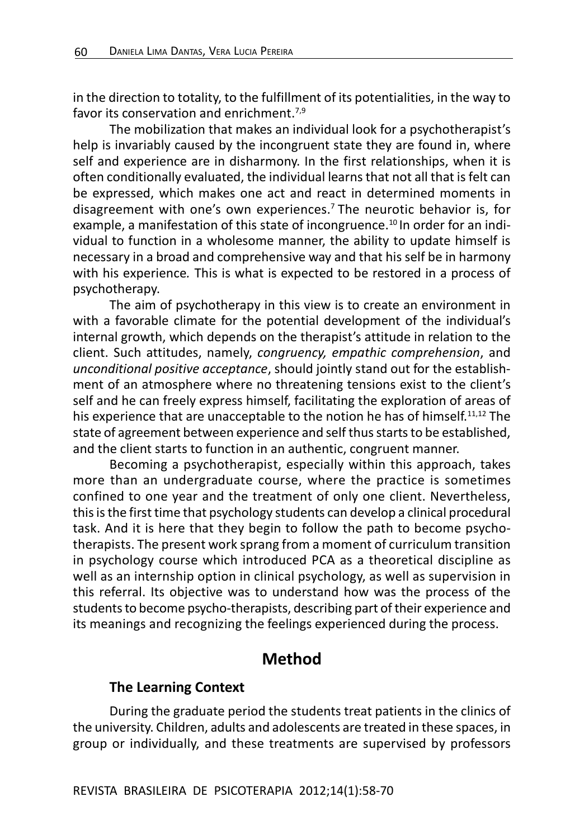in the direction to totality, to the fulfillment of its potentialities, in the way to favor its conservation and enrichment  $7,9$ 

The mobilization that makes an individual look for a psychotherapist's help is invariably caused by the incongruent state they are found in, where self and experience are in disharmony. In the first relationships, when it is often conditionally evaluated, the individual learns that not all that is felt can be expressed, which makes one act and react in determined moments in disagreement with one's own experiences.7 The neurotic behavior is, for example, a manifestation of this state of incongruence.<sup>10</sup> In order for an individual to function in a wholesome manner, the ability to update himself is necessary in a broad and comprehensive way and that his self be in harmony with his experience*.* This is what is expected to be restored in a process of psychotherapy.

The aim of psychotherapy in this view is to create an environment in with a favorable climate for the potential development of the individual's internal growth, which depends on the therapist's attitude in relation to the client. Such attitudes, namely, *congruency, empathic comprehension*, and *unconditional positive acceptance*, should jointly stand out for the establishment of an atmosphere where no threatening tensions exist to the client's self and he can freely express himself, facilitating the exploration of areas of his experience that are unacceptable to the notion he has of himself.<sup>11,12</sup> The state of agreement between experience and self thus starts to be established, and the client starts to function in an authentic, congruent manner.

Becoming a psychotherapist, especially within this approach, takes more than an undergraduate course, where the practice is sometimes confined to one year and the treatment of only one client. Nevertheless, this is the first time that psychology students can develop a clinical procedural task. And it is here that they begin to follow the path to become psychotherapists. The present work sprang from a moment of curriculum transition in psychology course which introduced PCA as a theoretical discipline as well as an internship option in clinical psychology, as well as supervision in this referral. Its objective was to understand how was the process of the students to become psycho-therapists, describing part of their experience and its meanings and recognizing the feelings experienced during the process.

### **Method**

#### **The Learning Context**

During the graduate period the students treat patients in the clinics of the university. Children, adults and adolescents are treated in these spaces, in group or individually, and these treatments are supervised by professors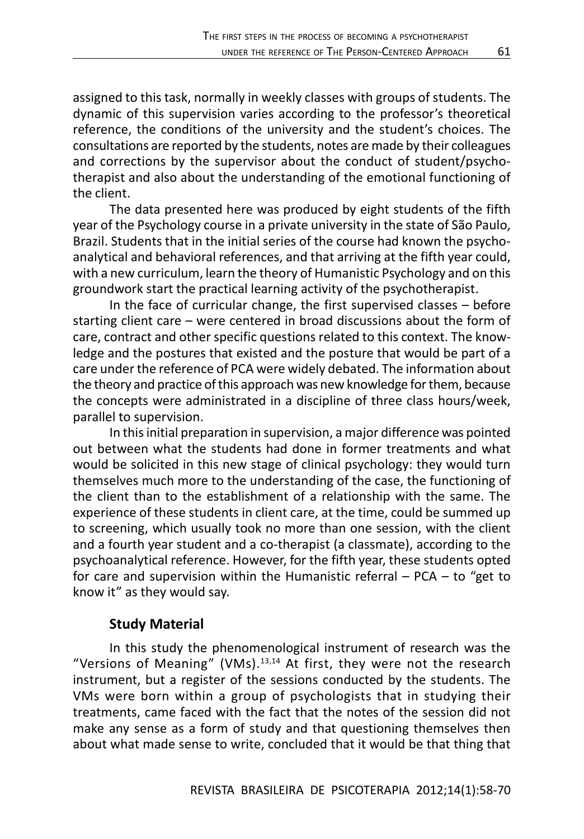assigned to this task, normally in weekly classes with groups of students. The dynamic of this supervision varies according to the professor's theoretical reference, the conditions of the university and the student's choices. The consultations are reported by the students, notes are made by their colleagues and corrections by the supervisor about the conduct of student/psychotherapist and also about the understanding of the emotional functioning of the client.

The data presented here was produced by eight students of the fifth year of the Psychology course in a private university in the state of São Paulo, Brazil. Students that in the initial series of the course had known the psychoanalytical and behavioral references, and that arriving at the fifth year could, with a new curriculum, learn the theory of Humanistic Psychology and on this groundwork start the practical learning activity of the psychotherapist.

In the face of curricular change, the first supervised classes – before starting client care – were centered in broad discussions about the form of care, contract and other specific questions related to this context. The knowledge and the postures that existed and the posture that would be part of a care under the reference of PCA were widely debated. The information about the theory and practice of this approach was new knowledge for them, because the concepts were administrated in a discipline of three class hours/week, parallel to supervision.

In this initial preparation in supervision, a major difference was pointed out between what the students had done in former treatments and what would be solicited in this new stage of clinical psychology: they would turn themselves much more to the understanding of the case, the functioning of the client than to the establishment of a relationship with the same. The experience of these students in client care, at the time, could be summed up to screening, which usually took no more than one session, with the client and a fourth year student and a co-therapist (a classmate), according to the psychoanalytical reference. However, for the fifth year, these students opted for care and supervision within the Humanistic referral – PCA – to "get to know it" as they would say.

#### **Study Material**

In this study the phenomenological instrument of research was the "Versions of Meaning" (VMs). $13,14$  At first, they were not the research instrument, but a register of the sessions conducted by the students. The VMs were born within a group of psychologists that in studying their treatments, came faced with the fact that the notes of the session did not make any sense as a form of study and that questioning themselves then about what made sense to write, concluded that it would be that thing that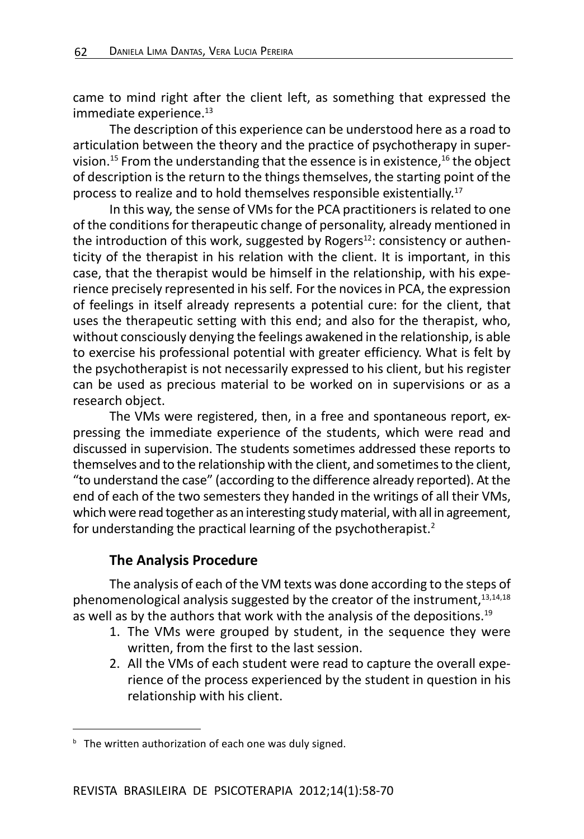came to mind right after the client left, as something that expressed the immediate experience.<sup>13</sup>

The description of this experience can be understood here as a road to articulation between the theory and the practice of psychotherapy in supervision.<sup>15</sup> From the understanding that the essence is in existence,  $16$  the object of description is the return to the things themselves, the starting point of the process to realize and to hold themselves responsible existentially.17

In this way, the sense of VMs for the PCA practitioners is related to one of the conditions for therapeutic change of personality, already mentioned in the introduction of this work, suggested by Rogers $^{12}$ : consistency or authenticity of the therapist in his relation with the client. It is important, in this case, that the therapist would be himself in the relationship, with his experience precisely represented in his self*.* For the novices in PCA, the expression of feelings in itself already represents a potential cure: for the client, that uses the therapeutic setting with this end; and also for the therapist, who, without consciously denying the feelings awakened in the relationship, is able to exercise his professional potential with greater efficiency. What is felt by the psychotherapist is not necessarily expressed to his client, but his register can be used as precious material to be worked on in supervisions or as a research object.

The VMs were registered, then, in a free and spontaneous report, expressing the immediate experience of the students, which were read and discussed in supervision. The students sometimes addressed these reports to themselves and to the relationship with the client, and sometimes to the client, "to understand the case" (according to the difference already reported). At the end of each of the two semesters they handed in the writings of all their VMs, which were read together as an interesting study material, with all in agreement, for understanding the practical learning of the psychotherapist.<sup>2</sup>

#### **The Analysis Procedure**

The analysis of each of the VM texts was done according to the steps of phenomenological analysis suggested by the creator of the instrument,  $13,14,18$ as well as by the authors that work with the analysis of the depositions.<sup>19</sup>

- 1. The VMs were grouped by student, in the sequence they were written, from the first to the last session.
- 2. All the VMs of each student were read to capture the overall experience of the process experienced by the student in question in his relationship with his client.

**b** The written authorization of each one was duly signed.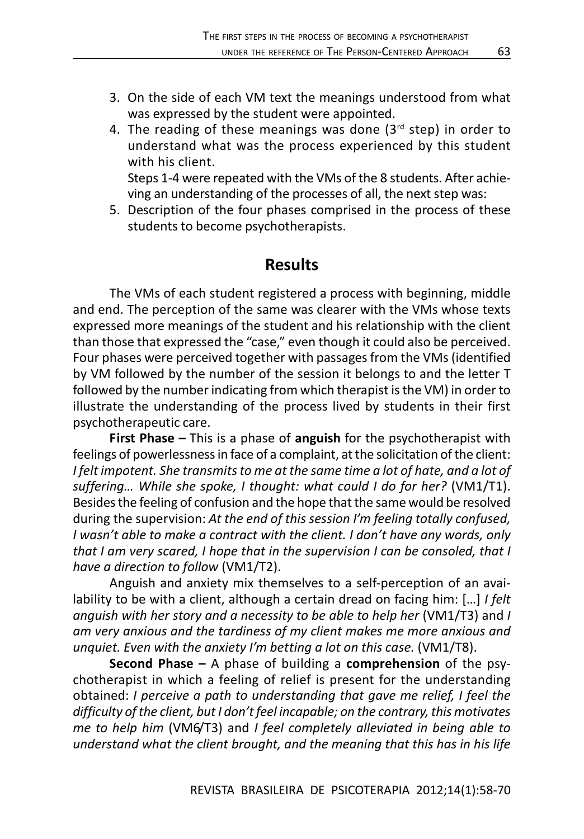- 3. On the side of each VM text the meanings understood from what was expressed by the student were appointed.
- 4. The reading of these meanings was done  $(3<sup>rd</sup>$  step) in order to understand what was the process experienced by this student with his client.

Steps 1-4 were repeated with the VMs of the 8 students. After achieving an understanding of the processes of all, the next step was:

5. Description of the four phases comprised in the process of these students to become psychotherapists.

## **Results**

The VMs of each student registered a process with beginning, middle and end. The perception of the same was clearer with the VMs whose texts expressed more meanings of the student and his relationship with the client than those that expressed the "case," even though it could also be perceived. Four phases were perceived together with passages from the VMs (identified by VM followed by the number of the session it belongs to and the letter T followed by the number indicating from which therapist is the VM) in order to illustrate the understanding of the process lived by students in their first psychotherapeutic care.

**First Phase –** This is a phase of **anguish** for the psychotherapist with feelings of powerlessness in face of a complaint, at the solicitation of the client: *I felt impotent. She transmits to me at the same time a lot of hate, and a lot of* suffering... While she spoke, I thought: what could I do for her? (VM1/T1). Besides the feeling of confusion and the hope that the same would be resolved during the supervision: *At the end of this session I'm feeling totally confused, I wasn't able to make a contract with the client. I don't have any words, only that I am very scared, I hope that in the supervision I can be consoled, that I have a direction to follow* (VM1/T2).

Anguish and anxiety mix themselves to a self-perception of an availability to be with a client, although a certain dread on facing him: […] *I felt anguish with her story and a necessity to be able to help her* (VM1/T3) and *I am very anxious and the tardiness of my client makes me more anxious and unquiet. Even with the anxiety I'm betting a lot on this case.* (VM1/T8).

**Second Phase –** A phase of building a **comprehension** of the psychotherapist in which a feeling of relief is present for the understanding obtained: *I perceive a path to understanding that gave me relief, I feel the difficulty of the client, but I don't feel incapable; on the contrary, this motivates me to help him* (VM6/T3) and *I feel completely alleviated in being able to understand what the client brought, and the meaning that this has in his life*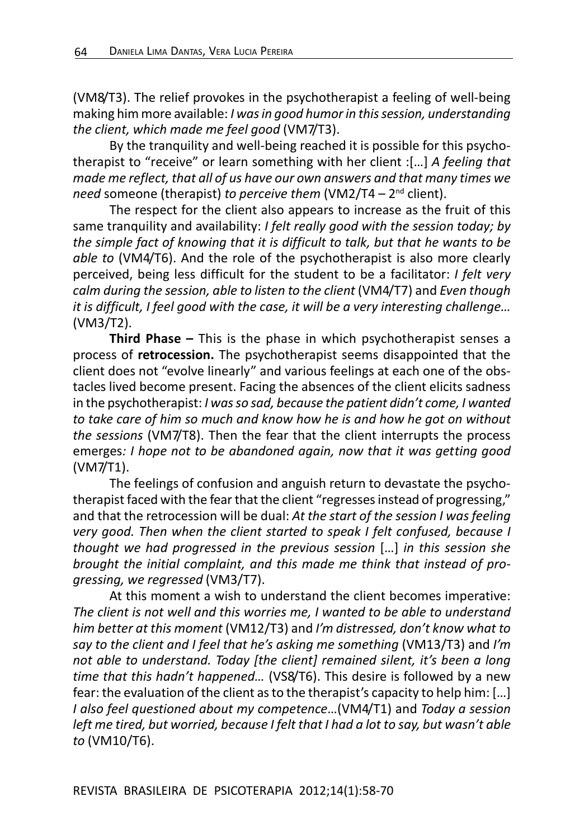(VM8/T3). The relief provokes in the psychotherapist a feeling of well-being making him more available: *I was in good humor in this session, understanding the client, which made me feel good* (VM7/T3).

By the tranquility and well-being reached it is possible for this psychotherapist to "receive" or learn something with her client :[…] *A feeling that made me reflect, that all of us have our own answers and that many times we need* someone (therapist) *to perceive them* (VM2/T4 – 2nd client).

The respect for the client also appears to increase as the fruit of this same tranquility and availability: *I felt really good with the session today; by the simple fact of knowing that it is difficult to talk, but that he wants to be able to* (VM4/T6). And the role of the psychotherapist is also more clearly perceived, being less difficult for the student to be a facilitator: *I felt very calm during the session, able to listen to the client* (VM4/T7) and *Even though it is difficult, I feel good with the case, it will be a very interesting challenge…* (VM3/T2).

**Third Phase –** This is the phase in which psychotherapist senses a process of **retrocession.** The psychotherapist seems disappointed that the client does not "evolve linearly" and various feelings at each one of the obstacles lived become present. Facing the absences of the client elicits sadness in the psychotherapist: *I was so sad, because the patient didn't come, I wanted to take care of him so much and know how he is and how he got on without the sessions* (VM7/T8). Then the fear that the client interrupts the process emerges*: I hope not to be abandoned again, now that it was getting good* (VM7/T1).

The feelings of confusion and anguish return to devastate the psychotherapist faced with the fear that the client "regresses instead of progressing," and that the retrocession will be dual: *At the start of the session I was feeling very good. Then when the client started to speak I felt confused, because I thought we had progressed in the previous session* […] *in this session she brought the initial complaint, and this made me think that instead of progressing, we regressed* (VM3/T7).

At this moment a wish to understand the client becomes imperative: *The client is not well and this worries me, I wanted to be able to understand him better at this moment* (VM12/T3) and *I'm distressed, don't know what to say to the client and I feel that he's asking me something* (VM13/T3) and *I'm not able to understand. Today [the client] remained silent, it's been a long time that this hadn't happened…* (VS8/T6). This desire is followed by a new fear: the evaluation of the client as to the therapist's capacity to help him: […] *I also feel questioned about my competence*…(VM4/T1) and *Today a session left me tired, but worried, because I felt that I had a lot to say, but wasn't able to* (VM10/T6).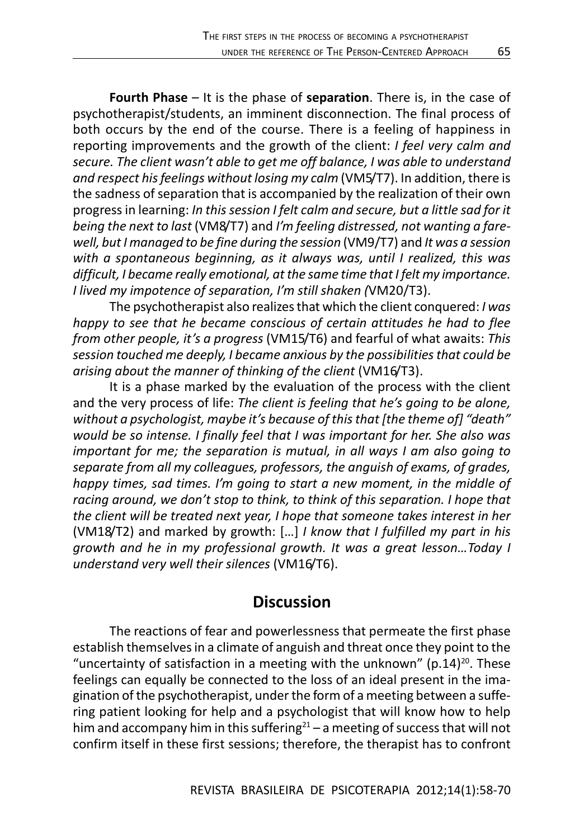**Fourth Phase** – It is the phase of **separation**. There is, in the case of psychotherapist/students, an imminent disconnection. The final process of both occurs by the end of the course. There is a feeling of happiness in reporting improvements and the growth of the client: *I feel very calm and secure. The client wasn't able to get me off balance, I was able to understand and respect his feelings without losing my calm* (VM5/T7). In addition, there is the sadness of separation that is accompanied by the realization of their own progress in learning: *In this session I felt calm and secure, but a little sad for it being the next to last* (VM8/T7) and *I'm feeling distressed, not wanting a farewell, but I managed to be fine during the session* (VM9/T7) and *It was a session with a spontaneous beginning, as it always was, until I realized, this was difficult, I became really emotional, at the same time that I felt my importance. I lived my impotence of separation, I'm still shaken (*VM20/T3).

The psychotherapist also realizes that which the client conquered: *I was happy to see that he became conscious of certain attitudes he had to flee from other people, it's a progress* (VM15/T6) and fearful of what awaits: *This session touched me deeply, I became anxious by the possibilities that could be arising about the manner of thinking of the client* (VM16/T3).

It is a phase marked by the evaluation of the process with the client and the very process of life: *The client is feeling that he's going to be alone, without a psychologist, maybe it's because of this that [the theme of] "death" would be so intense. I finally feel that I was important for her. She also was important for me; the separation is mutual, in all ways I am also going to separate from all my colleagues, professors, the anguish of exams, of grades, happy times, sad times. I'm going to start a new moment, in the middle of racing around, we don't stop to think, to think of this separation. I hope that the client will be treated next year, I hope that someone takes interest in her* (VM18/T2) and marked by growth: […] *I know that I fulfilled my part in his growth and he in my professional growth. It was a great lesson…Today I understand very well their silences* (VM16/T6).

### **Discussion**

The reactions of fear and powerlessness that permeate the first phase establish themselves in a climate of anguish and threat once they point to the "uncertainty of satisfaction in a meeting with the unknown" ( $p.14$ )<sup>20</sup>. These feelings can equally be connected to the loss of an ideal present in the imagination of the psychotherapist, under the form of a meeting between a suffering patient looking for help and a psychologist that will know how to help him and accompany him in this suffering<sup>21</sup> – a meeting of success that will not confirm itself in these first sessions; therefore, the therapist has to confront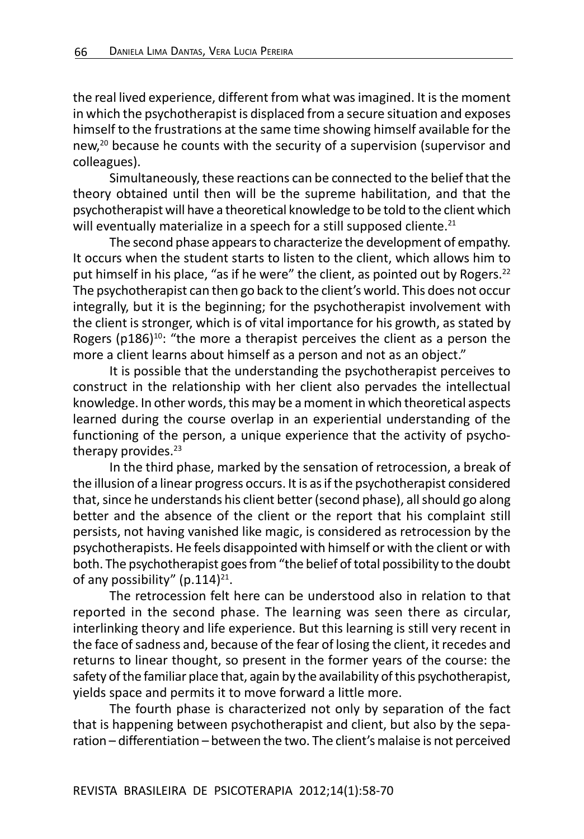the real lived experience, different from what was imagined. It is the moment in which the psychotherapist is displaced from a secure situation and exposes himself to the frustrations at the same time showing himself available for the new,<sup>20</sup> because he counts with the security of a supervision (supervisor and colleagues).

Simultaneously, these reactions can be connected to the belief that the theory obtained until then will be the supreme habilitation, and that the psychotherapist will have a theoretical knowledge to be told to the client which will eventually materialize in a speech for a still supposed cliente.<sup>21</sup>

The second phase appears to characterize the development of empathy. It occurs when the student starts to listen to the client, which allows him to put himself in his place, "as if he were" the client, as pointed out by Rogers.<sup>22</sup> The psychotherapist can then go back to the client's world. This does not occur integrally, but it is the beginning; for the psychotherapist involvement with the client is stronger, which is of vital importance for his growth, as stated by Rogers ( $p186$ )<sup>10</sup>: "the more a therapist perceives the client as a person the more a client learns about himself as a person and not as an object."

It is possible that the understanding the psychotherapist perceives to construct in the relationship with her client also pervades the intellectual knowledge. In other words, this may be a moment in which theoretical aspects learned during the course overlap in an experiential understanding of the functioning of the person, a unique experience that the activity of psychotherapy provides.<sup>23</sup>

In the third phase, marked by the sensation of retrocession, a break of the illusion of a linear progress occurs. It is as if the psychotherapist considered that, since he understands his client better (second phase), all should go along better and the absence of the client or the report that his complaint still persists, not having vanished like magic, is considered as retrocession by the psychotherapists. He feels disappointed with himself or with the client or with both. The psychotherapist goes from "the belief of total possibility to the doubt of any possibility"  $(p.114)^{21}$ .

The retrocession felt here can be understood also in relation to that reported in the second phase. The learning was seen there as circular, interlinking theory and life experience. But this learning is still very recent in the face of sadness and, because of the fear of losing the client, it recedes and returns to linear thought, so present in the former years of the course: the safety of the familiar place that, again by the availability of this psychotherapist, yields space and permits it to move forward a little more.

The fourth phase is characterized not only by separation of the fact that is happening between psychotherapist and client, but also by the separation – differentiation – between the two. The client's malaise is not perceived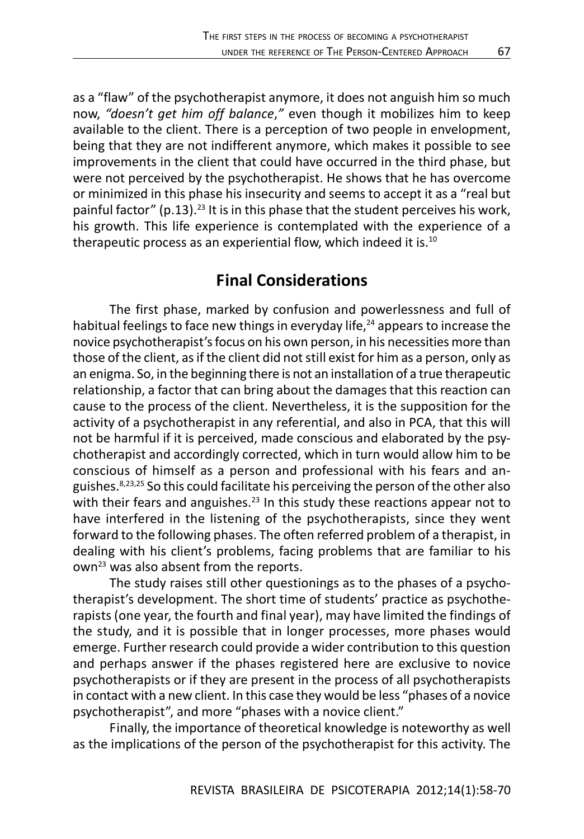as a "flaw" of the psychotherapist anymore, it does not anguish him so much now, *"doesn't get him off balance*,*"* even though it mobilizes him to keep available to the client. There is a perception of two people in envelopment, being that they are not indifferent anymore, which makes it possible to see improvements in the client that could have occurred in the third phase, but were not perceived by the psychotherapist. He shows that he has overcome or minimized in this phase his insecurity and seems to accept it as a "real but painful factor" (p.13).<sup>23</sup> It is in this phase that the student perceives his work, his growth. This life experience is contemplated with the experience of a therapeutic process as an experiential flow, which indeed it is.10

### **Final Considerations**

The first phase, marked by confusion and powerlessness and full of habitual feelings to face new things in everyday life, $24$  appears to increase the novice psychotherapist's focus on his own person, in his necessities more than those of the client, as if the client did not still exist for him as a person, only as an enigma. So, in the beginning there is not an installation of a true therapeutic relationship, a factor that can bring about the damages that this reaction can cause to the process of the client. Nevertheless, it is the supposition for the activity of a psychotherapist in any referential, and also in PCA, that this will not be harmful if it is perceived, made conscious and elaborated by the psychotherapist and accordingly corrected, which in turn would allow him to be conscious of himself as a person and professional with his fears and anguishes.8,23,25 So this could facilitate his perceiving the person of the other also with their fears and anguishes.<sup>23</sup> In this study these reactions appear not to have interfered in the listening of the psychotherapists, since they went forward to the following phases. The often referred problem of a therapist, in dealing with his client's problems, facing problems that are familiar to his own23 was also absent from the reports.

The study raises still other questionings as to the phases of a psychotherapist's development. The short time of students' practice as psychotherapists (one year, the fourth and final year), may have limited the findings of the study, and it is possible that in longer processes, more phases would emerge. Further research could provide a wider contribution to this question and perhaps answer if the phases registered here are exclusive to novice psychotherapists or if they are present in the process of all psychotherapists in contact with a new client. In this case they would be less "phases of a novice psychotherapist", and more "phases with a novice client."

Finally, the importance of theoretical knowledge is noteworthy as well as the implications of the person of the psychotherapist for this activity. The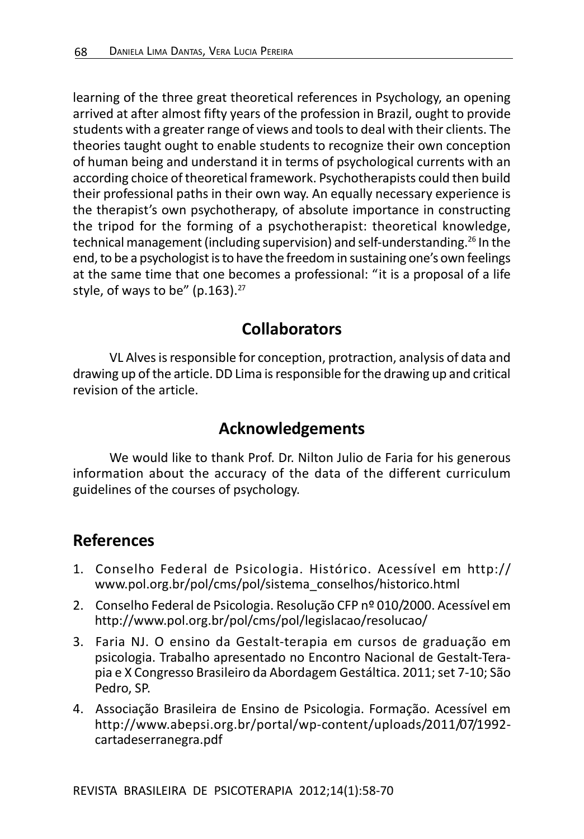learning of the three great theoretical references in Psychology, an opening arrived at after almost fifty years of the profession in Brazil, ought to provide students with a greater range of views and tools to deal with their clients. The theories taught ought to enable students to recognize their own conception of human being and understand it in terms of psychological currents with an according choice of theoretical framework. Psychotherapists could then build their professional paths in their own way. An equally necessary experience is the therapist's own psychotherapy, of absolute importance in constructing the tripod for the forming of a psychotherapist: theoretical knowledge, technical management (including supervision) and self-understanding.<sup>26</sup> In the end, to be a psychologist is to have the freedom in sustaining one's own feelings at the same time that one becomes a professional: "it is a proposal of a life style, of ways to be"  $(p.163).^{27}$ 

### **Collaborators**

VL Alves is responsible for conception, protraction, analysis of data and drawing up of the article. DD Lima is responsible for the drawing up and critical revision of the article.

# **Acknowledgements**

We would like to thank Prof. Dr. Nilton Julio de Faria for his generous information about the accuracy of the data of the different curriculum guidelines of the courses of psychology.

## **References**

- 1. Conselho Federal de Psicologia. Histórico. Acessível em http:// www.pol.org.br/pol/cms/pol/sistema\_conselhos/historico.html
- 2. Conselho Federal de Psicologia. Resolução CFP nº 010/2000. Acessível em http://www.pol.org.br/pol/cms/pol/legislacao/resolucao/
- 3. Faria NJ. O ensino da Gestalt-terapia em cursos de graduação em psicologia. Trabalho apresentado no Encontro Nacional de Gestalt-Terapia e X Congresso Brasileiro da Abordagem Gestáltica. 2011; set 7-10; São Pedro, SP.
- 4. Associação Brasileira de Ensino de Psicologia. Formação. Acessível em http://www.abepsi.org.br/portal/wp-content/uploads/2011/07/1992 cartadeserranegra.pdf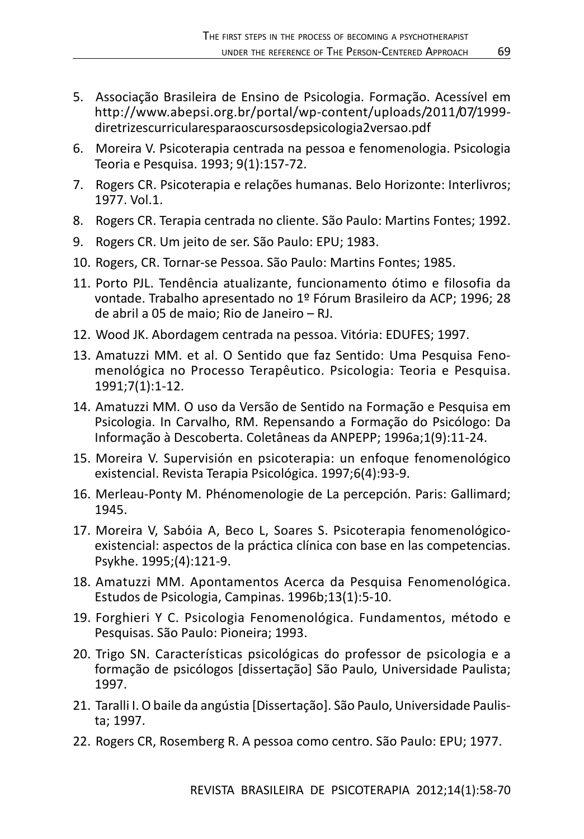- 5. Associação Brasileira de Ensino de Psicologia. Formação. Acessível em http://www.abepsi.org.br/portal/wp-content/uploads/2011/07/1999 diretrizescurricularesparaoscursosdepsicologia2versao.pdf
- 6. Moreira V. Psicoterapia centrada na pessoa e fenomenologia. Psicologia Teoria e Pesquisa. 1993; 9(1):157-72.
- 7. Rogers CR. Psicoterapia e relações humanas. Belo Horizonte: Interlivros; 1977. Vol.1.
- 8. Rogers CR. Terapia centrada no cliente. São Paulo: Martins Fontes; 1992.
- 9. Rogers CR. Um jeito de ser. São Paulo: EPU; 1983.
- 10. Rogers, CR. Tornar-se Pessoa. São Paulo: Martins Fontes; 1985.
- 11. Porto PJL. Tendência atualizante, funcionamento ótimo e filosofia da vontade. Trabalho apresentado no 1º Fórum Brasileiro da ACP; 1996; 28 de abril a 05 de maio; Rio de Janeiro – RJ.
- 12. Wood JK. Abordagem centrada na pessoa. Vitória: EDUFES; 1997.
- 13. Amatuzzi MM. et al. O Sentido que faz Sentido: Uma Pesquisa Fenomenológica no Processo Terapêutico. Psicologia: Teoria e Pesquisa. 1991;7(1):1-12.
- 14. Amatuzzi MM. O uso da Versão de Sentido na Formação e Pesquisa em Psicologia. In Carvalho, RM. Repensando a Formação do Psicólogo: Da Informação à Descoberta. Coletâneas da ANPEPP; 1996a;1(9):11-24.
- 15. Moreira V. Supervisión en psicoterapia: un enfoque fenomenológico existencial. Revista Terapia Psicológica. 1997;6(4):93-9.
- 16. Merleau-Ponty M. Phénomenologie de La percepción. Paris: Gallimard; 1945.
- 17. Moreira V, Sabóia A, Beco L, Soares S. Psicoterapia fenomenológicoexistencial: aspectos de la práctica clínica con base en las competencias. Psykhe. 1995;(4):121-9.
- 18. Amatuzzi MM. Apontamentos Acerca da Pesquisa Fenomenológica. Estudos de Psicologia, Campinas. 1996b;13(1):5-10.
- 19. Forghieri Y C. Psicologia Fenomenológica. Fundamentos, método e Pesquisas. São Paulo: Pioneira; 1993.
- 20. Trigo SN. Características psicológicas do professor de psicologia e a formação de psicólogos [dissertação] São Paulo, Universidade Paulista; 1997.
- 21. Taralli I. O baile da angústia [Dissertação]. São Paulo, Universidade Paulista; 1997.
- 22. Rogers CR, Rosemberg R. A pessoa como centro. São Paulo: EPU; 1977.